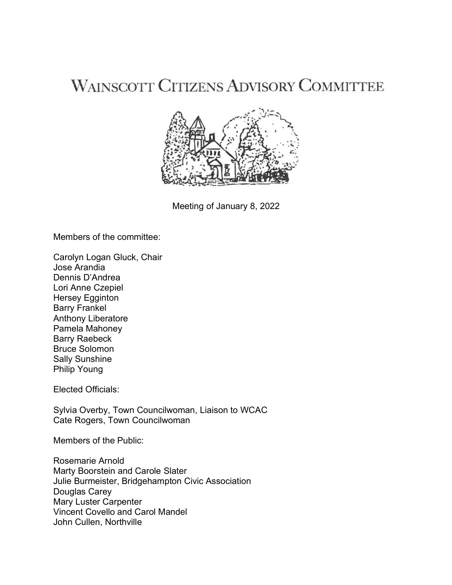## **WAINSCOTT CITIZENS ADVISORY COMMITTEE**



Meeting of January 8, 2022

Members of the committee:

Carolyn Logan Gluck, Chair Jose Arandia Dennis D'Andrea Lori Anne Czepiel Hersey Egginton Barry Frankel Anthony Liberatore Pamela Mahoney Barry Raebeck Bruce Solomon Sally Sunshine Philip Young

Elected Officials:

Sylvia Overby, Town Councilwoman, Liaison to WCAC Cate Rogers, Town Councilwoman

Members of the Public:

Rosemarie Arnold Marty Boorstein and Carole Slater Julie Burmeister, Bridgehampton Civic Association Douglas Carey Mary Luster Carpenter Vincent Covello and Carol Mandel John Cullen, Northville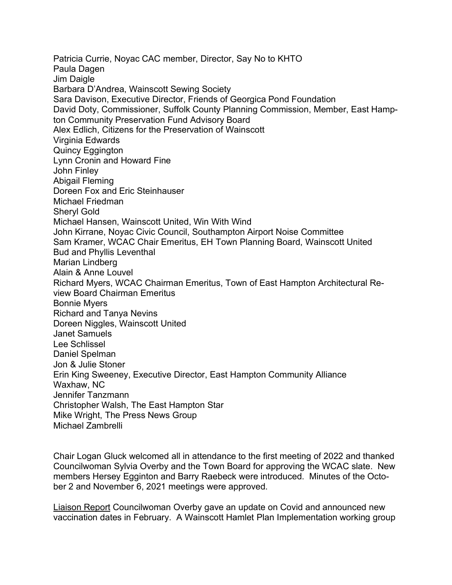Patricia Currie, Noyac CAC member, Director, Say No to KHTO Paula Dagen Jim Daigle Barbara D'Andrea, Wainscott Sewing Society Sara Davison, Executive Director, Friends of Georgica Pond Foundation David Doty, Commissioner, Suffolk County Planning Commission, Member, East Hampton Community Preservation Fund Advisory Board Alex Edlich, Citizens for the Preservation of Wainscott Virginia Edwards Quincy Eggington Lynn Cronin and Howard Fine John Finley Abigail Fleming Doreen Fox and Eric Steinhauser Michael Friedman Sheryl Gold Michael Hansen, Wainscott United, Win With Wind John Kirrane, Noyac Civic Council, Southampton Airport Noise Committee Sam Kramer, WCAC Chair Emeritus, EH Town Planning Board, Wainscott United Bud and Phyllis Leventhal Marian Lindberg Alain & Anne Louvel Richard Myers, WCAC Chairman Emeritus, Town of East Hampton Architectural Review Board Chairman Emeritus Bonnie Myers Richard and Tanya Nevins Doreen Niggles, Wainscott United Janet Samuels Lee Schlissel Daniel Spelman Jon & Julie Stoner Erin King Sweeney, Executive Director, East Hampton Community Alliance Waxhaw, NC Jennifer Tanzmann Christopher Walsh, The East Hampton Star Mike Wright, The Press News Group Michael Zambrelli

Chair Logan Gluck welcomed all in attendance to the first meeting of 2022 and thanked Councilwoman Sylvia Overby and the Town Board for approving the WCAC slate. New members Hersey Egginton and Barry Raebeck were introduced. Minutes of the October 2 and November 6, 2021 meetings were approved.

Liaison Report Councilwoman Overby gave an update on Covid and announced new vaccination dates in February. A Wainscott Hamlet Plan Implementation working group